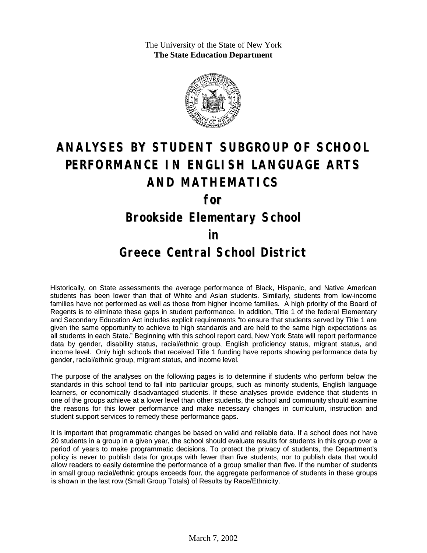The University of the State of New York **The State Education Department**



# **ANALYSES BY STUDENT SUBGROUP OF SCHOOL PERFORMANCE IN ENGLISH LANGUAGE ARTS AND MATHEMATICS**

**for**

### **Brookside Elementary School**

#### **in**

#### **Greece Central School District**

Historically, on State assessments the average performance of Black, Hispanic, and Native American students has been lower than that of White and Asian students. Similarly, students from low-income families have not performed as well as those from higher income families. A high priority of the Board of Regents is to eliminate these gaps in student performance. In addition, Title 1 of the federal Elementary and Secondary Education Act includes explicit requirements "to ensure that students served by Title 1 are given the same opportunity to achieve to high standards and are held to the same high expectations as all students in each State." Beginning with this school report card, New York State will report performance data by gender, disability status, racial/ethnic group, English proficiency status, migrant status, and income level. Only high schools that received Title 1 funding have reports showing performance data by gender, racial/ethnic group, migrant status, and income level.

The purpose of the analyses on the following pages is to determine if students who perform below the standards in this school tend to fall into particular groups, such as minority students, English language learners, or economically disadvantaged students. If these analyses provide evidence that students in one of the groups achieve at a lower level than other students, the school and community should examine the reasons for this lower performance and make necessary changes in curriculum, instruction and student support services to remedy these performance gaps.

It is important that programmatic changes be based on valid and reliable data. If a school does not have 20 students in a group in a given year, the school should evaluate results for students in this group over a period of years to make programmatic decisions. To protect the privacy of students, the Department's policy is never to publish data for groups with fewer than five students, nor to publish data that would allow readers to easily determine the performance of a group smaller than five. If the number of students in small group racial/ethnic groups exceeds four, the aggregate performance of students in these groups is shown in the last row (Small Group Totals) of Results by Race/Ethnicity.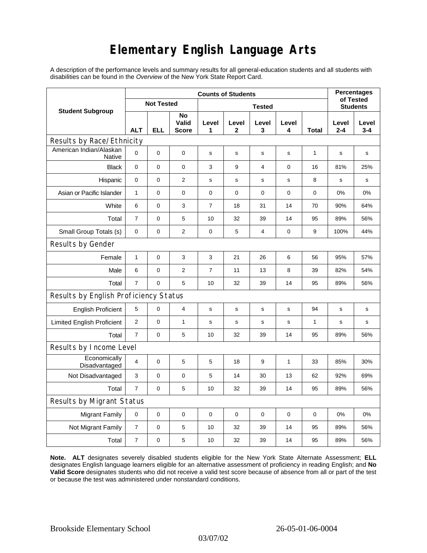## **Elementary English Language Arts**

A description of the performance levels and summary results for all general-education students and all students with disabilities can be found in the *Overview* of the New York State Report Card.

| <b>Student Subgroup</b>                  | <b>Counts of Students</b> |            |                             |                |              |             |             |              | <b>Percentages</b>           |                  |
|------------------------------------------|---------------------------|------------|-----------------------------|----------------|--------------|-------------|-------------|--------------|------------------------------|------------------|
|                                          | <b>Not Tested</b>         |            |                             | <b>Tested</b>  |              |             |             |              | of Tested<br><b>Students</b> |                  |
|                                          | <b>ALT</b>                | <b>ELL</b> | No<br>Valid<br><b>Score</b> | Level<br>1     | Level<br>2   | Level<br>3  | Level<br>4  | Total        | Level<br>$2 - 4$             | Level<br>$3 - 4$ |
| Results by Race/Ethnicity                |                           |            |                             |                |              |             |             |              |                              |                  |
| American Indian/Alaskan<br><b>Native</b> | $\Omega$                  | 0          | 0                           | s              | $\mathbf s$  | ${\bf s}$   | $\mathbf s$ | 1            | $\mathbf s$                  | $\mathbf s$      |
| <b>Black</b>                             | 0                         | 0          | 0                           | 3              | 9            | 4           | 0           | 16           | 81%                          | 25%              |
| Hispanic                                 | 0                         | 0          | $\overline{c}$              | s              | $\mathsf{s}$ | s           | s           | 8            | s                            | s                |
| Asian or Pacific Islander                | $\mathbf{1}$              | 0          | 0                           | 0              | $\mathbf 0$  | 0           | $\mathbf 0$ | 0            | $0\%$                        | 0%               |
| White                                    | 6                         | 0          | 3                           | $\overline{7}$ | 18           | 31          | 14          | 70           | 90%                          | 64%              |
| Total                                    | $\overline{7}$            | 0          | 5                           | 10             | 32           | 39          | 14          | 95           | 89%                          | 56%              |
| Small Group Totals (s)                   | 0                         | 0          | $\mathbf{2}$                | 0              | 5            | 4           | 0           | 9            | 100%                         | 44%              |
| Results by Gender                        |                           |            |                             |                |              |             |             |              |                              |                  |
| Female                                   | $\mathbf{1}$              | 0          | 3                           | 3              | 21           | 26          | 6           | 56           | 95%                          | 57%              |
| Male                                     | 6                         | 0          | $\overline{c}$              | 7              | 11           | 13          | 8           | 39           | 82%                          | 54%              |
| Total                                    | $\overline{7}$            | 0          | 5                           | 10             | 32           | 39          | 14          | 95           | 89%                          | 56%              |
| Results by English Proficiency Status    |                           |            |                             |                |              |             |             |              |                              |                  |
| <b>English Proficient</b>                | 5                         | 0          | 4                           | s              | $\mathbf s$  | $\mathbf s$ | s           | 94           | s                            | s                |
| <b>Limited English Proficient</b>        | $\mathbf{2}$              | 0          | $\mathbf{1}$                | s              | s            | $\mathbf s$ | s           | $\mathbf{1}$ | $\mathbf s$                  | s                |
| Total                                    | $\overline{7}$            | 0          | 5                           | 10             | 32           | 39          | 14          | 95           | 89%                          | 56%              |
| Results by Income Level                  |                           |            |                             |                |              |             |             |              |                              |                  |
| Economically<br>Disadvantaged            | $\overline{4}$            | 0          | 5                           | 5              | 18           | 9           | 1           | 33           | 85%                          | 30%              |
| Not Disadvantaged                        | 3                         | 0          | $\mathbf 0$                 | 5              | 14           | 30          | 13          | 62           | 92%                          | 69%              |
| Total                                    | $\overline{7}$            | 0          | 5                           | 10             | 32           | 39          | 14          | 95           | 89%                          | 56%              |
| Results by Migrant Status                |                           |            |                             |                |              |             |             |              |                              |                  |
| <b>Migrant Family</b>                    | 0                         | 0          | $\mathbf 0$                 | $\mathbf 0$    | $\mathbf 0$  | $\mathbf 0$ | $\mathbf 0$ | $\mathbf 0$  | 0%                           | 0%               |
| Not Migrant Family                       | $\overline{7}$            | 0          | 5                           | 10             | 32           | 39          | 14          | 95           | 89%                          | 56%              |
| Total                                    | $\overline{7}$            | 0          | 5                           | 10             | 32           | 39          | 14          | 95           | 89%                          | 56%              |

**Note. ALT** designates severely disabled students eligible for the New York State Alternate Assessment; **ELL** designates English language learners eligible for an alternative assessment of proficiency in reading English; and **No Valid Score** designates students who did not receive a valid test score because of absence from all or part of the test or because the test was administered under nonstandard conditions.

03/07/02